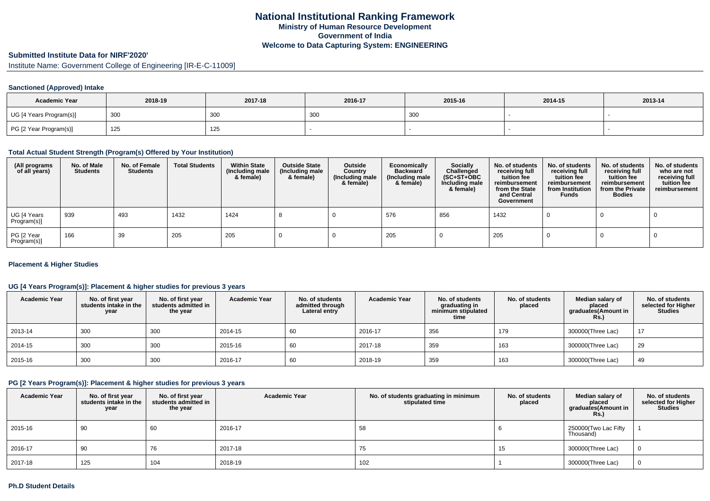# **Submitted Institute Data for NIRF'2020'**

Institute Name: Government College of Engineering [IR-E-C-11009]

## **Sanctioned (Approved) Intake**

| <b>Academic Year</b>    | 2018-19 | 2017-18 | 2016-17 | 2015-16 | 2014-15 | 2013-14 |
|-------------------------|---------|---------|---------|---------|---------|---------|
| UG [4 Years Program(s)] | 300     | 300     | 300     | 300     |         |         |
| PG [2 Year Program(s)]  | 125     | 125     |         |         |         |         |

### **Total Actual Student Strength (Program(s) Offered by Your Institution)**

| (All programs<br>of all years) | No. of Male<br><b>Students</b> | No. of Female<br><b>Students</b> | <b>Total Students</b> | <b>Within State</b><br>(Including male<br>& female) | <b>Outside State</b><br>(Including male<br>& female) | Outside<br>Country<br>(Including male<br>& female) | Economically<br><b>Backward</b><br>(Including male<br>& female) | <b>Socially</b><br>Challenged<br>$(SC+ST+OBC)$<br>Including male<br>& female) | No. of students<br>receiving full<br>tuition fee<br>reimbursement<br>from the State<br>and Central<br>Government | No. of students<br>receiving full<br>tuition fee<br>reimbursement<br>from Institution<br><b>Funds</b> | No. of students<br>receiving full<br>tuition fee<br>reimbursement<br>from the Private<br><b>Bodies</b> | No. of students<br>who are not<br>receiving full<br>tuition fee<br>reimbursement |
|--------------------------------|--------------------------------|----------------------------------|-----------------------|-----------------------------------------------------|------------------------------------------------------|----------------------------------------------------|-----------------------------------------------------------------|-------------------------------------------------------------------------------|------------------------------------------------------------------------------------------------------------------|-------------------------------------------------------------------------------------------------------|--------------------------------------------------------------------------------------------------------|----------------------------------------------------------------------------------|
| UG [4 Years<br>Program(s)]     | 939                            | 493                              | 1432                  | 1424                                                |                                                      |                                                    | 576                                                             | 856                                                                           | 1432                                                                                                             |                                                                                                       |                                                                                                        |                                                                                  |
| PG [2 Year<br>Program(s)]      | 166                            | 39                               | 205                   | 205                                                 |                                                      |                                                    | 205                                                             |                                                                               | 205                                                                                                              |                                                                                                       |                                                                                                        |                                                                                  |

## **Placement & Higher Studies**

## **UG [4 Years Program(s)]: Placement & higher studies for previous 3 years**

| <b>Academic Year</b> | No. of first year<br>students intake in the<br>year | No. of first year<br>students admitted in<br>the year | <b>Academic Year</b> | No. of students<br>admitted through<br>Lateral entry | <b>Academic Year</b> | No. of students<br>graduating in<br>minimum stipulated<br>time | No. of students<br>placed | Median salary of<br>placed<br>graduates(Amount in<br><b>Rs.)</b> | No. of students<br>selected for Higher<br><b>Studies</b> |
|----------------------|-----------------------------------------------------|-------------------------------------------------------|----------------------|------------------------------------------------------|----------------------|----------------------------------------------------------------|---------------------------|------------------------------------------------------------------|----------------------------------------------------------|
| 2013-14              | 300                                                 | 300                                                   | 2014-15              | 60                                                   | 2016-17              | 356                                                            | 179                       | 300000(Three Lac)                                                | 17                                                       |
| 2014-15              | 300                                                 | 300                                                   | 2015-16              | 60                                                   | 2017-18              | 359                                                            | 163                       | 300000(Three Lac)                                                | 29                                                       |
| 2015-16              | 300                                                 | 300                                                   | 2016-17              | 60                                                   | 2018-19              | 359                                                            | 163                       | 300000(Three Lac)                                                | 49                                                       |

## **PG [2 Years Program(s)]: Placement & higher studies for previous 3 years**

| <b>Academic Year</b> | No. of first year<br>students intake in the<br>year | No. of first year<br>students admitted in<br>the year | <b>Academic Year</b> | No. of students graduating in minimum<br>stipulated time | No. of students<br>placed | Median salary of<br>placed<br>graduates(Amount in<br><b>Rs.)</b> | No. of students<br>selected for Higher<br><b>Studies</b> |
|----------------------|-----------------------------------------------------|-------------------------------------------------------|----------------------|----------------------------------------------------------|---------------------------|------------------------------------------------------------------|----------------------------------------------------------|
| 2015-16              | 90                                                  | 60                                                    | 2016-17              | 58                                                       |                           | 250000(Two Lac Fifty<br>Thousand)                                |                                                          |
| 2016-17              | 90                                                  | 76                                                    | 2017-18              | $\sqrt{5}$                                               | 51                        | 300000(Three Lac)                                                |                                                          |
| 2017-18              | 125                                                 | 104                                                   | 2018-19              | 102                                                      |                           | 300000(Three Lac)                                                |                                                          |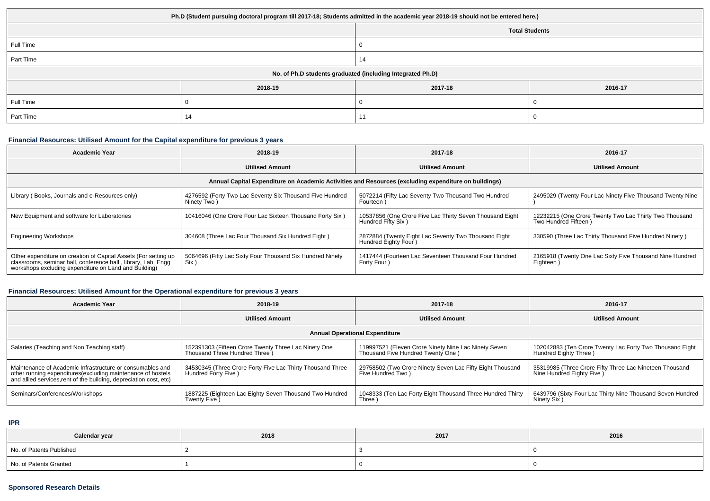| Ph.D (Student pursuing doctoral program till 2017-18; Students admitted in the academic year 2018-19 should not be entered here.) |         |                       |         |  |
|-----------------------------------------------------------------------------------------------------------------------------------|---------|-----------------------|---------|--|
|                                                                                                                                   |         | <b>Total Students</b> |         |  |
| Full Time                                                                                                                         |         |                       |         |  |
| Part Time                                                                                                                         |         | 14                    |         |  |
| No. of Ph.D students graduated (including Integrated Ph.D)                                                                        |         |                       |         |  |
|                                                                                                                                   | 2018-19 | 2017-18               | 2016-17 |  |
| Full Time                                                                                                                         |         |                       |         |  |
| Part Time                                                                                                                         | 14      | 11                    |         |  |

## **Financial Resources: Utilised Amount for the Capital expenditure for previous 3 years**

| <b>Academic Year</b>                                                                                                                                                                      | 2018-19                                                                 | 2017-18                                                                        | 2016-17                                                                        |  |  |  |
|-------------------------------------------------------------------------------------------------------------------------------------------------------------------------------------------|-------------------------------------------------------------------------|--------------------------------------------------------------------------------|--------------------------------------------------------------------------------|--|--|--|
|                                                                                                                                                                                           | <b>Utilised Amount</b>                                                  | <b>Utilised Amount</b>                                                         | <b>Utilised Amount</b>                                                         |  |  |  |
| Annual Capital Expenditure on Academic Activities and Resources (excluding expenditure on buildings)                                                                                      |                                                                         |                                                                                |                                                                                |  |  |  |
| Library (Books, Journals and e-Resources only)                                                                                                                                            | 4276592 (Forty Two Lac Seventy Six Thousand Five Hundred<br>Ninety Two) | 5072214 (Fifty Lac Seventy Two Thousand Two Hundred<br>Fourteen)               | 2495029 (Twenty Four Lac Ninety Five Thousand Twenty Nine                      |  |  |  |
| New Equipment and software for Laboratories                                                                                                                                               | 10416046 (One Crore Four Lac Sixteen Thousand Forty Six)                | 10537856 (One Crore Five Lac Thirty Seven Thousand Eight<br>Hundred Fifty Six) | 12232215 (One Crore Twenty Two Lac Thirty Two Thousand<br>Two Hundred Fifteen) |  |  |  |
| <b>Engineering Workshops</b>                                                                                                                                                              | 304608 (Three Lac Four Thousand Six Hundred Eight)                      | 2872884 (Twenty Eight Lac Seventy Two Thousand Eight<br>Hundred Eighty Four )  | 330590 (Three Lac Thirty Thousand Five Hundred Ninety)                         |  |  |  |
| Other expenditure on creation of Capital Assets (For setting up<br>classrooms, seminar hall, conference hall, library, Lab, Engg<br>workshops excluding expenditure on Land and Building) | 5064696 (Fifty Lac Sixty Four Thousand Six Hundred Ninety<br>Six )      | 1417444 (Fourteen Lac Seventeen Thousand Four Hundred<br>Forty Four)           | 2165918 (Twenty One Lac Sixty Five Thousand Nine Hundred<br>Eighteen)          |  |  |  |

# **Financial Resources: Utilised Amount for the Operational expenditure for previous 3 years**

| Academic Year                                                                                                                                                                                   | 2018-19                                                                                | 2017-18                                                                                   | 2016-17                                                                              |  |  |
|-------------------------------------------------------------------------------------------------------------------------------------------------------------------------------------------------|----------------------------------------------------------------------------------------|-------------------------------------------------------------------------------------------|--------------------------------------------------------------------------------------|--|--|
|                                                                                                                                                                                                 | <b>Utilised Amount</b>                                                                 | <b>Utilised Amount</b>                                                                    | <b>Utilised Amount</b>                                                               |  |  |
| <b>Annual Operational Expenditure</b>                                                                                                                                                           |                                                                                        |                                                                                           |                                                                                      |  |  |
| Salaries (Teaching and Non Teaching staff)                                                                                                                                                      | 152391303 (Fifteen Crore Twenty Three Lac Ninety One<br>Thousand Three Hundred Three ) | 119997521 (Eleven Crore Ninety Nine Lac Ninety Seven<br>Thousand Five Hundred Twenty One) | 102042883 (Ten Crore Twenty Lac Forty Two Thousand Eight<br>Hundred Eighty Three)    |  |  |
| Maintenance of Academic Infrastructure or consumables and<br>other running expenditures (excluding maintenance of hostels<br>and allied services, rent of the building, depreciation cost, etc) | 34530345 (Three Crore Forty Five Lac Thirty Thousand Three<br>Hundred Forty Five )     | 29758502 (Two Crore Ninety Seven Lac Fifty Eight Thousand<br>Five Hundred Two)            | 35319985 (Three Crore Fifty Three Lac Nineteen Thousand<br>Nine Hundred Eighty Five) |  |  |
| Seminars/Conferences/Workshops                                                                                                                                                                  | 1887225 (Eighteen Lac Eighty Seven Thousand Two Hundred<br>Twenty Five )               | 1048333 (Ten Lac Forty Eight Thousand Three Hundred Thirty<br>Three )                     | 6439796 (Sixty Four Lac Thirty Nine Thousand Seven Hundred<br>Ninety Six )           |  |  |

**IPR**

| Calendar year            | 2018 | 2017 | 2016 |
|--------------------------|------|------|------|
| No. of Patents Published |      |      |      |
| No. of Patents Granted   |      |      |      |

# **Sponsored Research Details**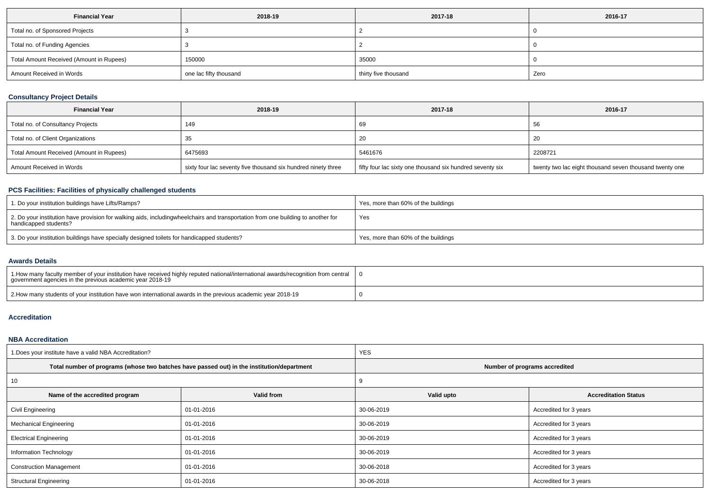| <b>Financial Year</b>                    | 2018-19                | 2017-18              | 2016-17 |
|------------------------------------------|------------------------|----------------------|---------|
| Total no. of Sponsored Projects          |                        |                      |         |
| Total no. of Funding Agencies            |                        |                      |         |
| Total Amount Received (Amount in Rupees) | 150000                 | 35000                |         |
| Amount Received in Words                 | one lac fifty thousand | thirty five thousand | Zero    |

# **Consultancy Project Details**

| <b>Financial Year</b>                    | 2018-19                                                       | 2017-18                                                   | 2016-17                                                 |
|------------------------------------------|---------------------------------------------------------------|-----------------------------------------------------------|---------------------------------------------------------|
| Total no. of Consultancy Projects        | 149                                                           | 69                                                        | 56                                                      |
| Total no. of Client Organizations        |                                                               | -20                                                       | 20                                                      |
| Total Amount Received (Amount in Rupees) | 6475693                                                       | 5461676                                                   | 2208721                                                 |
| Amount Received in Words                 | sixty four lac seventy five thousand six hundred ninety three | fifty four lac sixty one thousand six hundred seventy six | twenty two lac eight thousand seven thousand twenty one |

## **PCS Facilities: Facilities of physically challenged students**

| 1. Do your institution buildings have Lifts/Ramps?                                                                                                        | Yes, more than 60% of the buildings |
|-----------------------------------------------------------------------------------------------------------------------------------------------------------|-------------------------------------|
| 2. Do your institution have provision for walking aids, includingwheelchairs and transportation from one building to another for<br>handicapped students? | Yes                                 |
| 3. Do your institution buildings have specially designed toilets for handicapped students?                                                                | Yes, more than 60% of the buildings |

#### **Awards Details**

| 1. How many faculty member of your institution have received highly reputed national/international awards/recognition from central<br>government agencies in the previous academic year 2018-19 |  |
|-------------------------------------------------------------------------------------------------------------------------------------------------------------------------------------------------|--|
| 2. How many students of your institution have won international awards in the previous academic year 2018-19                                                                                    |  |

# **Accreditation**

## **NBA Accreditation**

| 1. Does your institute have a valid NBA Accreditation? |                                                                                            | <b>YES</b>                    |                             |  |  |  |  |
|--------------------------------------------------------|--------------------------------------------------------------------------------------------|-------------------------------|-----------------------------|--|--|--|--|
|                                                        | Total number of programs (whose two batches have passed out) in the institution/department | Number of programs accredited |                             |  |  |  |  |
| 10                                                     |                                                                                            |                               |                             |  |  |  |  |
| Name of the accredited program                         | Valid from                                                                                 | Valid upto                    | <b>Accreditation Status</b> |  |  |  |  |
| Civil Engineering                                      | 01-01-2016                                                                                 | 30-06-2019                    | Accredited for 3 years      |  |  |  |  |
| <b>Mechanical Engineering</b>                          | 01-01-2016                                                                                 | 30-06-2019                    | Accredited for 3 years      |  |  |  |  |
| <b>Electrical Engineering</b>                          | 01-01-2016                                                                                 | 30-06-2019                    | Accredited for 3 years      |  |  |  |  |
| Information Technology                                 | 01-01-2016                                                                                 | 30-06-2019                    | Accredited for 3 years      |  |  |  |  |
| <b>Construction Management</b>                         | 01-01-2016                                                                                 |                               | Accredited for 3 years      |  |  |  |  |
| <b>Structural Engineering</b>                          | 01-01-2016                                                                                 | 30-06-2018                    | Accredited for 3 years      |  |  |  |  |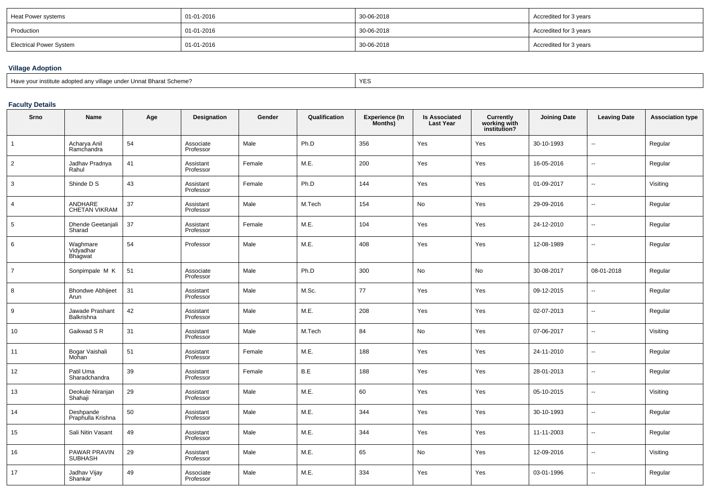| Heat Power systems      | 01-01-2016 | 30-06-2018 | Accredited for 3 years |
|-------------------------|------------|------------|------------------------|
| Production              | 01-01-2016 | 30-06-2018 | Accredited for 3 years |
| Electrical Power System | 01-01-2016 | 30-06-2018 | Accredited for 3 years |

# **Village Adoption**

| Have your institute adopted any village under Unnat Bharat Scheme? | YES |
|--------------------------------------------------------------------|-----|
|--------------------------------------------------------------------|-----|

# **Faculty Details**

| Srno           | Name                             | Age | Designation            | Gender | Qualification | <b>Experience (In</b><br>Months) | <b>Is Associated</b><br><b>Last Year</b> | <b>Currently<br/>working with<br/>institution?</b> | <b>Joining Date</b> | <b>Leaving Date</b> | <b>Association type</b> |
|----------------|----------------------------------|-----|------------------------|--------|---------------|----------------------------------|------------------------------------------|----------------------------------------------------|---------------------|---------------------|-------------------------|
| $\overline{1}$ | Acharya Anil<br>Ramchandra       | 54  | Associate<br>Professor | Male   | Ph.D          | 356                              | Yes                                      | Yes                                                | 30-10-1993          | ä.                  | Regular                 |
| $\overline{2}$ | Jadhav Pradnya<br>Rahul          | 41  | Assistant<br>Professor | Female | M.E.          | 200                              | Yes                                      | Yes                                                | 16-05-2016          | u.                  | Regular                 |
| 3              | Shinde D S                       | 43  | Assistant<br>Professor | Female | Ph.D          | 144                              | Yes                                      | Yes                                                | 01-09-2017          | н.                  | Visiting                |
| 4              | ANDHARE<br>CHETAN VIKRAM         | 37  | Assistant<br>Professor | Male   | M.Tech        | 154                              | No                                       | Yes                                                | 29-09-2016          | ⊶.                  | Regular                 |
| 5              | Dhende Geetanjali<br>Sharad      | 37  | Assistant<br>Professor | Female | M.E.          | 104                              | Yes                                      | Yes                                                | 24-12-2010          | ÷.                  | Regular                 |
| 6              | Waghmare<br>Vidyadhar<br>Bhagwat | 54  | Professor              | Male   | M.E.          | 408                              | Yes                                      | Yes                                                | 12-08-1989          | --                  | Regular                 |
| $\overline{7}$ | Sonpimpale M K                   | 51  | Associate<br>Professor | Male   | Ph.D          | 300                              | No                                       | No                                                 | 30-08-2017          | 08-01-2018          | Regular                 |
| 8              | <b>Bhondwe Abhijeet</b><br>Arun  | 31  | Assistant<br>Professor | Male   | M.Sc.         | 77                               | Yes                                      | Yes                                                | 09-12-2015          |                     | Regular                 |
| 9              | Jawade Prashant<br>Balkrishna    | 42  | Assistant<br>Professor | Male   | M.E.          | 208                              | Yes                                      | Yes                                                | 02-07-2013          | --                  | Regular                 |
| 10             | Gaikwad S R                      | 31  | Assistant<br>Professor | Male   | M.Tech        | 84                               | No                                       | Yes                                                | 07-06-2017          | --                  | Visiting                |
| 11             | Bogar Vaishali<br>Mohan          | 51  | Assistant<br>Professor | Female | M.E.          | 188                              | Yes                                      | Yes                                                | 24-11-2010          |                     | Regular                 |
| 12             | Patil Uma<br>Sharadchandra       | 39  | Assistant<br>Professor | Female | B.E           | 188                              | Yes                                      | Yes                                                | 28-01-2013          |                     | Regular                 |
| 13             | Deokule Niranjan<br>Shahaji      | 29  | Assistant<br>Professor | Male   | M.E.          | 60                               | Yes                                      | Yes                                                | 05-10-2015          |                     | Visiting                |
| 14             | Deshpande<br>Praphulla Krishna   | 50  | Assistant<br>Professor | Male   | M.E.          | 344                              | Yes                                      | Yes                                                | 30-10-1993          | ш,                  | Regular                 |
| 15             | Sali Nitin Vasant                | 49  | Assistant<br>Professor | Male   | M.E.          | 344                              | Yes                                      | Yes                                                | 11-11-2003          | --                  | Regular                 |
| 16             | PAWAR PRAVIN<br><b>SUBHASH</b>   | 29  | Assistant<br>Professor | Male   | M.E.          | 65                               | No                                       | Yes                                                | 12-09-2016          | --                  | Visiting                |
| 17             | Jadhav Vijay<br>Shankar          | 49  | Associate<br>Professor | Male   | M.E.          | 334                              | Yes                                      | Yes                                                | 03-01-1996          | --                  | Regular                 |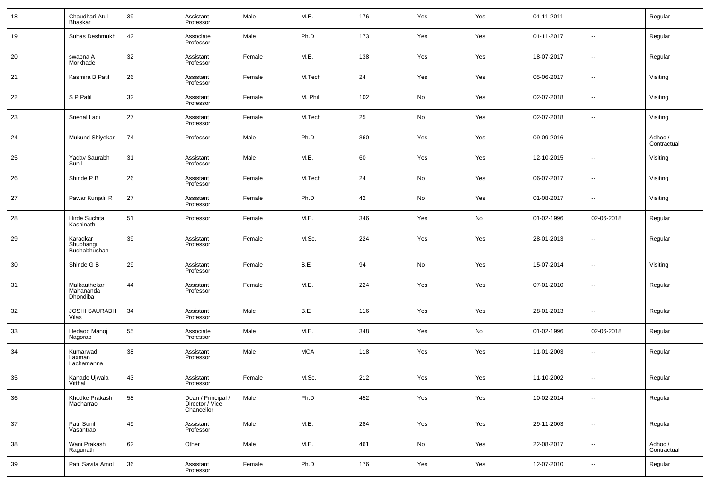| 18 | Chaudhari Atul<br><b>Bhaskar</b>      | 39 | Assistant<br>Professor                              | Male   | M.E.       | 176 | Yes | Yes | 01-11-2011 | --             | Regular                |
|----|---------------------------------------|----|-----------------------------------------------------|--------|------------|-----|-----|-----|------------|----------------|------------------------|
| 19 | Suhas Deshmukh                        | 42 | Associate<br>Professor                              | Male   | Ph.D       | 173 | Yes | Yes | 01-11-2017 | --             | Regular                |
| 20 | swapna A<br>Morkhade                  | 32 | Assistant<br>Professor                              | Female | M.E.       | 138 | Yes | Yes | 18-07-2017 | --             | Regular                |
| 21 | Kasmira B Patil                       | 26 | Assistant<br>Professor                              | Female | M.Tech     | 24  | Yes | Yes | 05-06-2017 | $\sim$         | Visiting               |
| 22 | S P Patil                             | 32 | Assistant<br>Professor                              | Female | M. Phil    | 102 | No  | Yes | 02-07-2018 | н.             | Visiting               |
| 23 | Snehal Ladi                           | 27 | Assistant<br>Professor                              | Female | M.Tech     | 25  | No  | Yes | 02-07-2018 | $\sim$         | Visiting               |
| 24 | Mukund Shiyekar                       | 74 | Professor                                           | Male   | Ph.D       | 360 | Yes | Yes | 09-09-2016 | н.             | Adhoc /<br>Contractual |
| 25 | Yadav Saurabh<br>Sunil                | 31 | Assistant<br>Professor                              | Male   | M.E.       | 60  | Yes | Yes | 12-10-2015 | $\sim$         | Visiting               |
| 26 | Shinde P B                            | 26 | Assistant<br>Professor                              | Female | M.Tech     | 24  | No  | Yes | 06-07-2017 | н.             | Visiting               |
| 27 | Pawar Kunjali R                       | 27 | Assistant<br>Professor                              | Female | Ph.D       | 42  | No  | Yes | 01-08-2017 | --             | Visiting               |
| 28 | Hirde Suchita<br>Kashinath            | 51 | Professor                                           | Female | M.E.       | 346 | Yes | No  | 01-02-1996 | 02-06-2018     | Regular                |
| 29 | Karadkar<br>Shubhangi<br>Budhabhushan | 39 | Assistant<br>Professor                              | Female | M.Sc.      | 224 | Yes | Yes | 28-01-2013 | --             | Regular                |
| 30 | Shinde G B                            | 29 | Assistant<br>Professor                              | Female | B.E        | 94  | No  | Yes | 15-07-2014 | $\overline{a}$ | Visiting               |
| 31 | Malkauthekar<br>Mahananda<br>Dhondiba | 44 | Assistant<br>Professor                              | Female | M.E.       | 224 | Yes | Yes | 07-01-2010 | ш,             | Regular                |
| 32 | JOSHI SAURABH<br>Vilas                | 34 | Assistant<br>Professor                              | Male   | B.E        | 116 | Yes | Yes | 28-01-2013 | --             | Regular                |
| 33 | Hedaoo Manoj<br>Nagorao               | 55 | Associate<br>Professor                              | Male   | M.E.       | 348 | Yes | No  | 01-02-1996 | 02-06-2018     | Regular                |
| 34 | Kumarwad<br>Laxman<br>Lachamanna      | 38 | Assistant<br>Professor                              | Male   | <b>MCA</b> | 118 | Yes | Yes | 11-01-2003 | --             | Regular                |
| 35 | Kanade Ujwala<br>Vitthal              | 43 | Assistant<br>Professor                              | Female | M.Sc.      | 212 | Yes | Yes | 11-10-2002 | --             | Regular                |
| 36 | Khodke Prakash<br>Maoharrao           | 58 | Dean / Principal /<br>Director / Vice<br>Chancellor | Male   | Ph.D       | 452 | Yes | Yes | 10-02-2014 | --             | Regular                |
| 37 | Patil Sunil<br>Vasantrao              | 49 | Assistant<br>Professor                              | Male   | M.E.       | 284 | Yes | Yes | 29-11-2003 | $\sim$         | Regular                |
| 38 | Wani Prakash<br>Ragunath              | 62 | Other                                               | Male   | M.E.       | 461 | No  | Yes | 22-08-2017 | $\sim$         | Adhoc /<br>Contractual |
| 39 | Patil Savita Amol                     | 36 | Assistant<br>Professor                              | Female | Ph.D       | 176 | Yes | Yes | 12-07-2010 | $\sim$         | Regular                |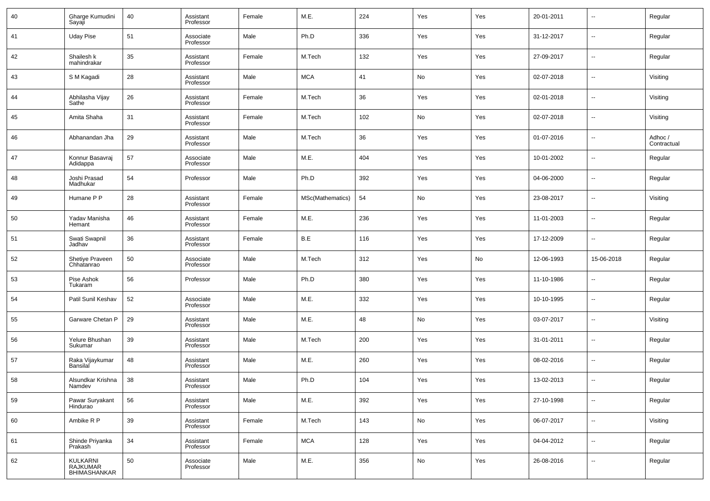| 40 | Gharge Kumudini<br>Sayaji            | 40 | Assistant<br>Professor | Female | M.E.             | 224 | Yes           | Yes | 20-01-2011 | $\overline{\phantom{a}}$ | Regular                |
|----|--------------------------------------|----|------------------------|--------|------------------|-----|---------------|-----|------------|--------------------------|------------------------|
| 41 | <b>Uday Pise</b>                     | 51 | Associate<br>Professor | Male   | Ph.D             | 336 | Yes           | Yes | 31-12-2017 | $\overline{\phantom{a}}$ | Regular                |
| 42 | Shailesh k<br>mahindrakar            | 35 | Assistant<br>Professor | Female | M.Tech           | 132 | Yes           | Yes | 27-09-2017 | $\overline{\phantom{a}}$ | Regular                |
| 43 | S M Kagadi                           | 28 | Assistant<br>Professor | Male   | <b>MCA</b>       | 41  | No            | Yes | 02-07-2018 | $\overline{\phantom{a}}$ | Visiting               |
| 44 | Abhilasha Vijay<br>Sathe             | 26 | Assistant<br>Professor | Female | M.Tech           | 36  | Yes           | Yes | 02-01-2018 | $\overline{\phantom{a}}$ | Visiting               |
| 45 | Amita Shaha                          | 31 | Assistant<br>Professor | Female | M.Tech           | 102 | No            | Yes | 02-07-2018 | $\overline{\phantom{a}}$ | Visiting               |
| 46 | Abhanandan Jha                       | 29 | Assistant<br>Professor | Male   | M.Tech           | 36  | Yes           | Yes | 01-07-2016 | $\overline{\phantom{a}}$ | Adhoc /<br>Contractual |
| 47 | Konnur Basavraj<br>Adidappa          | 57 | Associate<br>Professor | Male   | M.E.             | 404 | Yes           | Yes | 10-01-2002 | $\overline{\phantom{a}}$ | Regular                |
| 48 | Joshi Prasad<br>Madhukar             | 54 | Professor              | Male   | Ph.D             | 392 | Yes           | Yes | 04-06-2000 | $\overline{\phantom{a}}$ | Regular                |
| 49 | Humane P P                           | 28 | Assistant<br>Professor | Female | MSc(Mathematics) | 54  | No            | Yes | 23-08-2017 | $\overline{\phantom{a}}$ | Visiting               |
| 50 | Yadav Manisha<br>Hemant              | 46 | Assistant<br>Professor | Female | M.E.             | 236 | Yes           | Yes | 11-01-2003 | $\overline{\phantom{a}}$ | Regular                |
| 51 | Swati Swapnil<br>Jadhav              | 36 | Assistant<br>Professor | Female | B.E              | 116 | Yes           | Yes | 17-12-2009 | $\overline{\phantom{a}}$ | Regular                |
| 52 | Shetiye Praveen<br>Chhatanrao        | 50 | Associate<br>Professor | Male   | M.Tech           | 312 | Yes           | No  | 12-06-1993 | 15-06-2018               | Regular                |
| 53 | Pise Ashok<br>Tukaram                | 56 | Professor              | Male   | Ph.D             | 380 | Yes           | Yes | 11-10-1986 | $\overline{\phantom{a}}$ | Regular                |
| 54 | Patil Sunil Keshav                   | 52 | Associate<br>Professor | Male   | M.E.             | 332 | Yes           | Yes | 10-10-1995 | $\overline{\phantom{a}}$ | Regular                |
| 55 | Garware Chetan P                     | 29 | Assistant<br>Professor | Male   | M.E.             | 48  | No            | Yes | 03-07-2017 | $\overline{\phantom{a}}$ | Visiting               |
| 56 | Yelure Bhushan<br>Sukumar            | 39 | Assistant<br>Professor | Male   | M.Tech           | 200 | Yes           | Yes | 31-01-2011 | $\overline{\phantom{a}}$ | Regular                |
| 57 | Raka Vijaykumar<br><b>Bansilal</b>   | 48 | Assistant<br>Professor | Male   | M.E.             | 260 | Yes           | Yes | 08-02-2016 | $\overline{\phantom{a}}$ | Regular                |
| 58 | Alsundkar Krishna<br>Namdev          | 38 | Assistant<br>Professor | Male   | Ph.D             | 104 | Yes           | Yes | 13-02-2013 | $\overline{\phantom{a}}$ | Regular                |
| 59 | Pawar Suryakant<br>Hindurao          | 56 | Assistant<br>Professor | Male   | M.E.             | 392 | Yes           | Yes | 27-10-1998 | $\overline{\phantom{a}}$ | Regular                |
| 60 | Ambike R P                           | 39 | Assistant<br>Professor | Female | M.Tech           | 143 | No            | Yes | 06-07-2017 | $\overline{\phantom{a}}$ | Visiting               |
| 61 | Shinde Priyanka<br>Prakash           | 34 | Assistant<br>Professor | Female | <b>MCA</b>       | 128 | Yes           | Yes | 04-04-2012 | $\overline{\phantom{a}}$ | Regular                |
| 62 | KULKARNI<br>RAJKUMAR<br>BHIMASHANKAR | 50 | Associate<br>Professor | Male   | M.E.             | 356 | $\mathsf{No}$ | Yes | 26-08-2016 | $\overline{\phantom{a}}$ | Regular                |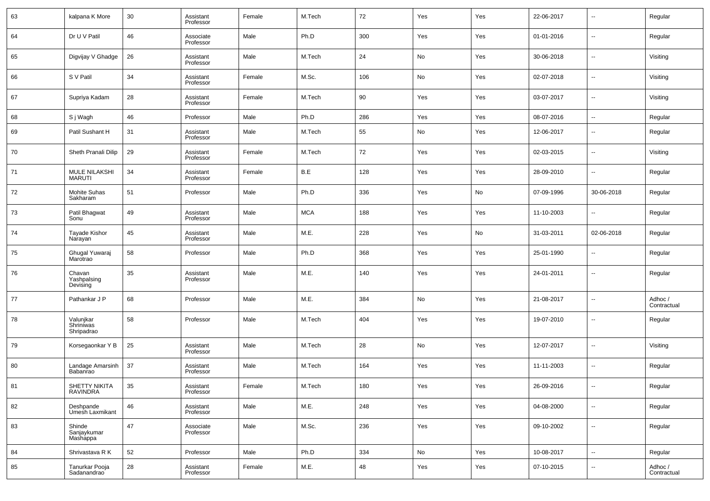| 63 | kalpana K More                        | 30 | Assistant<br>Professor | Female | M.Tech     | 72  | Yes | Yes | 22-06-2017 | $\sim$                   | Regular                |
|----|---------------------------------------|----|------------------------|--------|------------|-----|-----|-----|------------|--------------------------|------------------------|
| 64 | Dr U V Patil                          | 46 | Associate<br>Professor | Male   | Ph.D       | 300 | Yes | Yes | 01-01-2016 | ⊶.                       | Regular                |
| 65 | Digvijay V Ghadge                     | 26 | Assistant<br>Professor | Male   | M.Tech     | 24  | No  | Yes | 30-06-2018 | $\sim$                   | Visiting               |
| 66 | S V Patil                             | 34 | Assistant<br>Professor | Female | M.Sc.      | 106 | No  | Yes | 02-07-2018 | ⊶.                       | Visiting               |
| 67 | Supriya Kadam                         | 28 | Assistant<br>Professor | Female | M.Tech     | 90  | Yes | Yes | 03-07-2017 | $\sim$                   | Visiting               |
| 68 | S j Wagh                              | 46 | Professor              | Male   | Ph.D       | 286 | Yes | Yes | 08-07-2016 | $\sim$                   | Regular                |
| 69 | Patil Sushant H                       | 31 | Assistant<br>Professor | Male   | M.Tech     | 55  | No  | Yes | 12-06-2017 | $\overline{\phantom{a}}$ | Regular                |
| 70 | Sheth Pranali Dilip                   | 29 | Assistant<br>Professor | Female | M.Tech     | 72  | Yes | Yes | 02-03-2015 | $\overline{\phantom{a}}$ | Visiting               |
| 71 | <b>MULE NILAKSHI</b><br><b>MARUTI</b> | 34 | Assistant<br>Professor | Female | B.E        | 128 | Yes | Yes | 28-09-2010 | $\overline{\phantom{a}}$ | Regular                |
| 72 | Mohite Suhas<br>Sakharam              | 51 | Professor              | Male   | Ph.D       | 336 | Yes | No  | 07-09-1996 | 30-06-2018               | Regular                |
| 73 | Patil Bhagwat<br>Sonu                 | 49 | Assistant<br>Professor | Male   | <b>MCA</b> | 188 | Yes | Yes | 11-10-2003 | $\overline{\phantom{a}}$ | Regular                |
| 74 | Tayade Kishor<br>Narayan              | 45 | Assistant<br>Professor | Male   | M.E.       | 228 | Yes | No  | 31-03-2011 | 02-06-2018               | Regular                |
| 75 | Ghugal Yuwaraj<br>Marotrao            | 58 | Professor              | Male   | Ph.D       | 368 | Yes | Yes | 25-01-1990 | $\overline{\phantom{a}}$ | Regular                |
| 76 | Chavan<br>Yashpalsing<br>Devising     | 35 | Assistant<br>Professor | Male   | M.E.       | 140 | Yes | Yes | 24-01-2011 | $\overline{\phantom{a}}$ | Regular                |
| 77 | Pathankar J P                         | 68 | Professor              | Male   | M.E.       | 384 | No  | Yes | 21-08-2017 | $\overline{\phantom{a}}$ | Adhoc /<br>Contractual |
| 78 | Valunjkar<br>Shriniwas<br>Shripadrao  | 58 | Professor              | Male   | M.Tech     | 404 | Yes | Yes | 19-07-2010 | $\overline{\phantom{a}}$ | Regular                |
| 79 | Korsegaonkar Y B                      | 25 | Assistant<br>Professor | Male   | M.Tech     | 28  | No  | Yes | 12-07-2017 | $\overline{\phantom{a}}$ | Visiting               |
| 80 | Landage Amarsinh<br>Babanrao          | 37 | Assistant<br>Professor | Male   | M.Tech     | 164 | Yes | Yes | 11-11-2003 | ٠.                       | Regular                |
| 81 | SHETTY NIKITA<br>RAVINDRA             | 35 | Assistant<br>Professor | Female | M.Tech     | 180 | Yes | Yes | 26-09-2016 |                          | Regular                |
| 82 | Deshpande<br>Umesh Laxmikant          | 46 | Assistant<br>Professor | Male   | M.E.       | 248 | Yes | Yes | 04-08-2000 | $\overline{\phantom{a}}$ | Regular                |
| 83 | Shinde<br>Sanjaykumar<br>Mashappa     | 47 | Associate<br>Professor | Male   | M.Sc.      | 236 | Yes | Yes | 09-10-2002 | $\overline{\phantom{a}}$ | Regular                |
| 84 | Shrivastava R K                       | 52 | Professor              | Male   | Ph.D       | 334 | No  | Yes | 10-08-2017 | $\overline{\phantom{a}}$ | Regular                |
| 85 | Tanurkar Pooja<br>Sadanandrao         | 28 | Assistant<br>Professor | Female | M.E.       | 48  | Yes | Yes | 07-10-2015 | $\sim$                   | Adhoc/<br>Contractual  |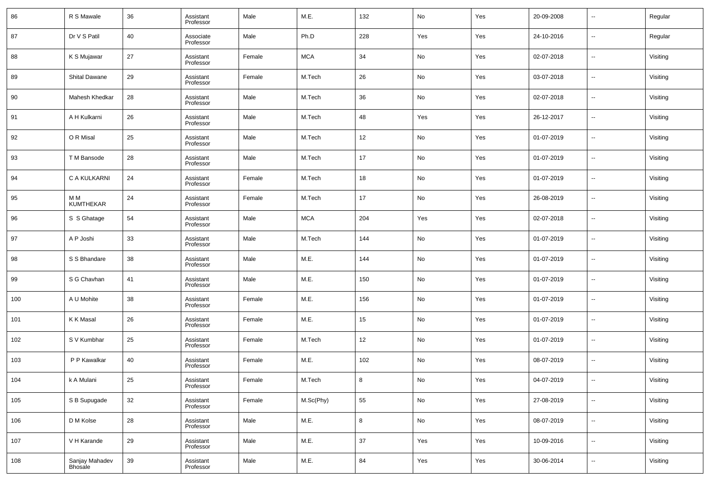| 86  | R S Mawale                | 36 | Assistant<br>Professor | Male   | M.E.       | 132    | No         | Yes | 20-09-2008 | $\overline{\phantom{a}}$ | Regular  |
|-----|---------------------------|----|------------------------|--------|------------|--------|------------|-----|------------|--------------------------|----------|
| 87  | Dr V S Patil              | 40 | Associate<br>Professor | Male   | Ph.D       | 228    | Yes        | Yes | 24-10-2016 | $\overline{\phantom{a}}$ | Regular  |
| 88  | K S Mujawar               | 27 | Assistant<br>Professor | Female | <b>MCA</b> | 34     | No         | Yes | 02-07-2018 | $\overline{\phantom{a}}$ | Visiting |
| 89  | <b>Shital Dawane</b>      | 29 | Assistant<br>Professor | Female | M.Tech     | 26     | No         | Yes | 03-07-2018 | $\overline{\phantom{a}}$ | Visiting |
| 90  | <b>Mahesh Khedkar</b>     | 28 | Assistant<br>Professor | Male   | M.Tech     | 36     | No         | Yes | 02-07-2018 | $\overline{\phantom{a}}$ | Visiting |
| 91  | A H Kulkarni              | 26 | Assistant<br>Professor | Male   | M.Tech     | 48     | Yes        | Yes | 26-12-2017 | $\overline{\phantom{a}}$ | Visiting |
| 92  | O R Misal                 | 25 | Assistant<br>Professor | Male   | M.Tech     | 12     | No         | Yes | 01-07-2019 | $\overline{\phantom{a}}$ | Visiting |
| 93  | T M Bansode               | 28 | Assistant<br>Professor | Male   | M.Tech     | 17     | No         | Yes | 01-07-2019 | $\overline{\phantom{a}}$ | Visiting |
| 94  | C A KULKARNI              | 24 | Assistant<br>Professor | Female | M.Tech     | 18     | No         | Yes | 01-07-2019 | $\overline{\phantom{a}}$ | Visiting |
| 95  | ΜМ<br><b>KUMTHEKAR</b>    | 24 | Assistant<br>Professor | Female | M.Tech     | 17     | No         | Yes | 26-08-2019 | $\overline{\phantom{a}}$ | Visiting |
| 96  | S S Ghatage               | 54 | Assistant<br>Professor | Male   | <b>MCA</b> | 204    | Yes        | Yes | 02-07-2018 | $\overline{\phantom{a}}$ | Visiting |
| 97  | A P Joshi                 | 33 | Assistant<br>Professor | Male   | M.Tech     | 144    | No         | Yes | 01-07-2019 | $\overline{\phantom{a}}$ | Visiting |
| 98  | S S Bhandare              | 38 | Assistant<br>Professor | Male   | M.E.       | 144    | No         | Yes | 01-07-2019 | $\overline{\phantom{a}}$ | Visiting |
| 99  | S G Chavhan               | 41 | Assistant<br>Professor | Male   | M.E.       | 150    | No         | Yes | 01-07-2019 | $\overline{\phantom{a}}$ | Visiting |
| 100 | A U Mohite                | 38 | Assistant<br>Professor | Female | M.E.       | 156    | No         | Yes | 01-07-2019 | $\overline{\phantom{a}}$ | Visiting |
| 101 | K K Masal                 | 26 | Assistant<br>Professor | Female | M.E.       | 15     | No         | Yes | 01-07-2019 | $\overline{\phantom{a}}$ | Visiting |
| 102 | S V Kumbhar               | 25 | Assistant<br>Professor | Female | M.Tech     | 12     | No         | Yes | 01-07-2019 | $\overline{\phantom{a}}$ | Visiting |
| 103 | P P Kawalkar              | 40 | Assistant<br>Professor | Female | M.E.       | 102    | No         | Yes | 08-07-2019 | $\overline{\phantom{a}}$ | Visiting |
| 104 | k A Mulani                | 25 | Assistant<br>Professor | Female | M.Tech     | 8      | No         | Yes | 04-07-2019 | $\overline{\phantom{a}}$ | Visiting |
| 105 | S B Supugade              | 32 | Assistant<br>Professor | Female | M.Sc(Phy)  | 55     | ${\sf No}$ | Yes | 27-08-2019 | $\overline{\phantom{a}}$ | Visiting |
| 106 | D M Kolse                 | 28 | Assistant<br>Professor | Male   | M.E.       | 8      | ${\sf No}$ | Yes | 08-07-2019 | $\overline{\phantom{a}}$ | Visiting |
| 107 | V H Karande               | 29 | Assistant<br>Professor | Male   | M.E.       | $37\,$ | Yes        | Yes | 10-09-2016 | $\overline{\phantom{a}}$ | Visiting |
| 108 | Sanjay Mahadev<br>Bhosale | 39 | Assistant<br>Professor | Male   | M.E.       | 84     | Yes        | Yes | 30-06-2014 | $\overline{\phantom{a}}$ | Visiting |